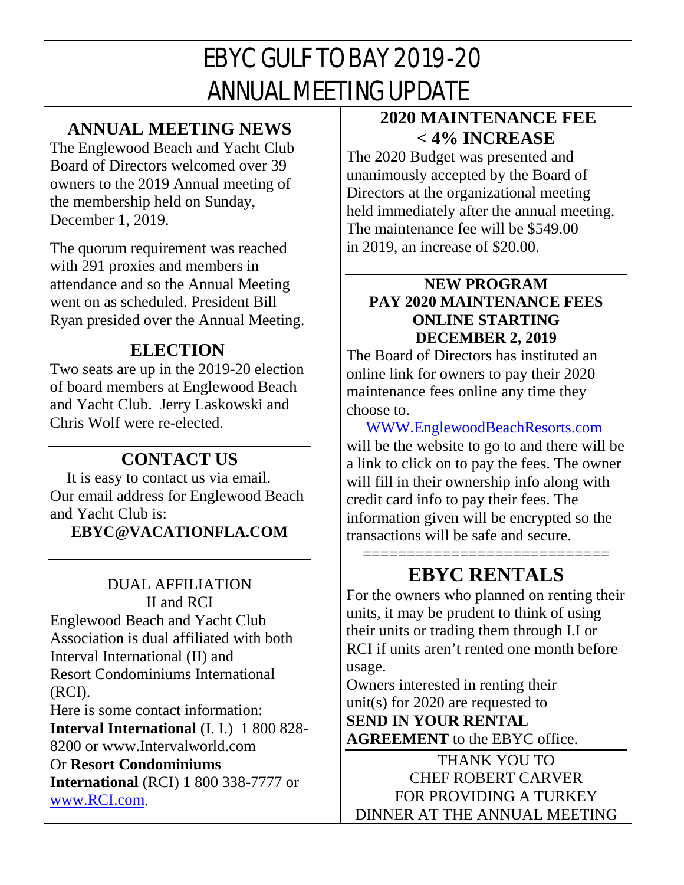# EBYC GULF TO BAY 2019-20 ANNUAL MEETING UPDATE

### **ANNUAL MEETING NEWS**

The Englewood Beach and Yacht Club Board of Directors welcomed over 39 owners to the 2019 Annual meeting of the membership held on Sunday, December 1, 2019.

The quorum requirement was reached with 291 proxies and members in attendance and so the Annual Meeting went on as scheduled. President Bill Ryan presided over the Annual Meeting.

## **ELECTION**

Two seats are up in the 2019-20 election of board members at Englewood Beach and Yacht Club. Jerry Laskowski and Chris Wolf were re-elected.

# **CONTACT US**

 It is easy to contact us via email. Our email address for Englewood Beach and Yacht Club is:

**EBYC@VACATIONFLA.COM**

# DUAL AFFILIATION II and RCI

Englewood Beach and Yacht Club Association is dual affiliated with both Interval International (II) and Resort Condominiums International (RCI).

Here is some contact information: **Interval International** (I. I.) 1 800 828- 8200 or www.Intervalworld.com Or **Resort Condominiums International** (RCI) 1 800 338-7777 or [www.RCI.com.](http://www.rci.com/)

### **2020 MAINTENANCE FEE < 4% INCREASE**

The 2020 Budget was presented and unanimously accepted by the Board of Directors at the organizational meeting held immediately after the annual meeting. The maintenance fee will be \$549.00 in 2019, an increase of \$20.00.

#### **NEW PROGRAM PAY 2020 MAINTENANCE FEES ONLINE STARTING DECEMBER 2, 2019**

The Board of Directors has instituted an online link for owners to pay their 2020 maintenance fees online any time they choose to.

 [WWW.EnglewoodBeachResorts.com](http://www.englewoodbeachresorts.com/)  will be the website to go to and there will be a link to click on to pay the fees. The owner will fill in their ownership info along with credit card info to pay their fees. The information given will be encrypted so the transactions will be safe and secure.

### ============================= **EBYC RENTALS**

For the owners who planned on renting their units, it may be prudent to think of using their units or trading them through I.I or RCI if units aren't rented one month before usage.

Owners interested in renting their unit(s) for 2020 are requested to **SEND IN YOUR RENTAL AGREEMENT** to the EBYC office.

THANK YOU TO CHEF ROBERT CARVER FOR PROVIDING A TURKEY DINNER AT THE ANNUAL MEETING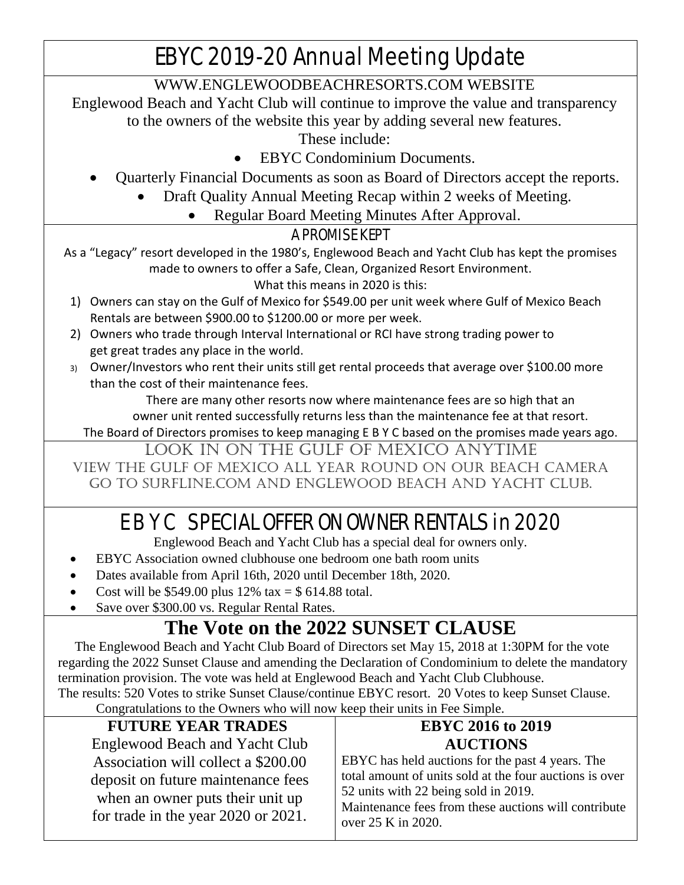# EBYC 2019-20 Annual Meeting Update

[WWW.ENGLEWOODBEACHRESORTS.COM](http://www.englewoodbeachresorts.com/) WEBSITE

Englewood Beach and Yacht Club will continue to improve the value and transparency

to the owners of the website this year by adding several new features.

These include:

- EBYC Condominium Documents.
- Quarterly Financial Documents as soon as Board of Directors accept the reports.
	- Draft Quality Annual Meeting Recap within 2 weeks of Meeting.
		- Regular Board Meeting Minutes After Approval.

#### A PROMISE KEPT

As a "Legacy" resort developed in the 1980's, Englewood Beach and Yacht Club has kept the promises made to owners to offer a Safe, Clean, Organized Resort Environment. What this means in 2020 is this:

- 1) Owners can stay on the Gulf of Mexico for \$549.00 per unit week where Gulf of Mexico Beach Rentals are between \$900.00 to \$1200.00 or more per week.
- 2) Owners who trade through Interval International or RCI have strong trading power to get great trades any place in the world.
- 3) Owner/Investors who rent their units still get rental proceeds that average over \$100.00 more than the cost of their maintenance fees.

There are many other resorts now where maintenance fees are so high that an owner unit rented successfully returns less than the maintenance fee at that resort.

The Board of Directors promises to keep managing E B Y C based on the promises made years ago.

LOOK IN ON THE GULF OF MEXICO ANYTIME

View the gulf of Mexico all year round on our beach camera Go to surfline.com and Englewood beach and Yacht club.

# E B Y C SPECIAL OFFER ON OWNER RENTALS in 2020

Englewood Beach and Yacht Club has a special deal for owners only.

- EBYC Association owned clubhouse one bedroom one bath room units
- Dates available from April 16th, 2020 until December 18th, 2020.
- Cost will be \$549.00 plus  $12\%$  tax = \$ 614.88 total.
- Save over \$300.00 vs. Regular Rental Rates.

# **The Vote on the 2022 SUNSET CLAUSE**

 The Englewood Beach and Yacht Club Board of Directors set May 15, 2018 at 1:30PM for the vote regarding the 2022 Sunset Clause and amending the Declaration of Condominium to delete the mandatory termination provision. The vote was held at Englewood Beach and Yacht Club Clubhouse. The results: 520 Votes to strike Sunset Clause/continue EBYC resort. 20 Votes to keep Sunset Clause.

Congratulations to the Owners who will now keep their units in Fee Simple.

| <b>FUTURE YEAR TRADES</b>                                                                                                                            | <b>EBYC 2016 to 2019</b>                                                                                                                                                                                                          |
|------------------------------------------------------------------------------------------------------------------------------------------------------|-----------------------------------------------------------------------------------------------------------------------------------------------------------------------------------------------------------------------------------|
| <b>Englewood Beach and Yacht Club</b>                                                                                                                | <b>AUCTIONS</b>                                                                                                                                                                                                                   |
| Association will collect a \$200.00<br>deposit on future maintenance fees<br>when an owner puts their unit up<br>for trade in the year 2020 or 2021. | EBYC has held auctions for the past 4 years. The<br>total amount of units sold at the four auctions is over<br>52 units with 22 being sold in 2019.<br>Maintenance fees from these auctions will contribute<br>over 25 K in 2020. |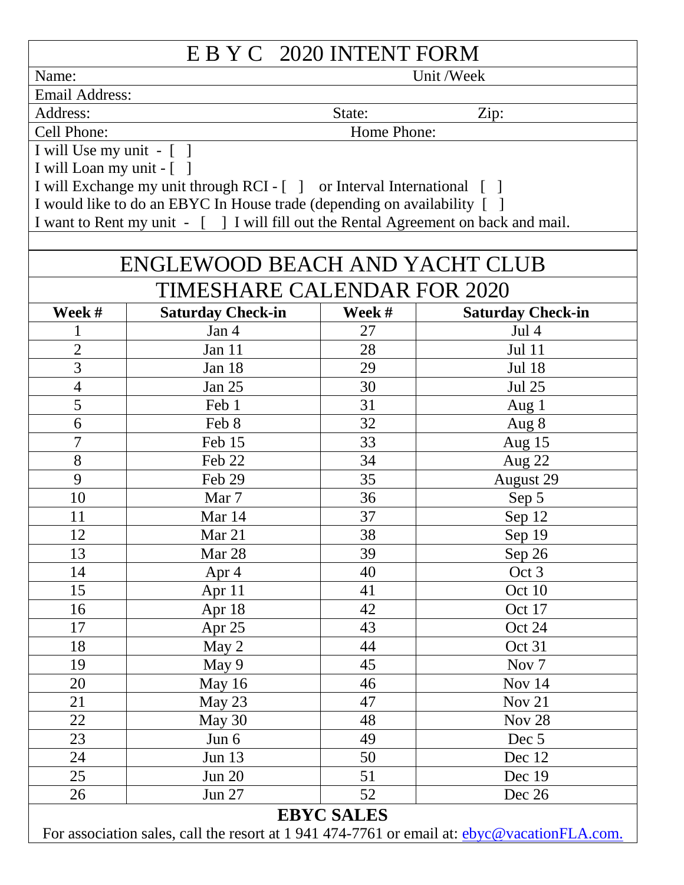| E B Y C 2020 INTENT FORM                                                                           |                                                                                     |                     |                          |  |  |
|----------------------------------------------------------------------------------------------------|-------------------------------------------------------------------------------------|---------------------|--------------------------|--|--|
| Name:                                                                                              |                                                                                     |                     | Unit /Week               |  |  |
| <b>Email Address:</b>                                                                              |                                                                                     |                     |                          |  |  |
| Address:                                                                                           |                                                                                     | State:              | Zip:                     |  |  |
| Cell Phone:                                                                                        | Home Phone:                                                                         |                     |                          |  |  |
| I will Use my unit - [ ]                                                                           |                                                                                     |                     |                          |  |  |
| I will Loan my unit - [ ]                                                                          |                                                                                     |                     |                          |  |  |
|                                                                                                    | I will Exchange my unit through RCI - [ ] or Interval International [ ]             |                     |                          |  |  |
|                                                                                                    | I would like to do an EBYC In House trade (depending on availability [ ]            |                     |                          |  |  |
|                                                                                                    | I want to Rent my unit - [ ] I will fill out the Rental Agreement on back and mail. |                     |                          |  |  |
|                                                                                                    |                                                                                     |                     |                          |  |  |
|                                                                                                    | <b>ENGLEWOOD BEACH AND YACHT CLUB</b>                                               |                     |                          |  |  |
|                                                                                                    | TIMESHARE CALENDAR FOR 2020                                                         |                     |                          |  |  |
| Week #                                                                                             | <b>Saturday Check-in</b>                                                            | Week #              | <b>Saturday Check-in</b> |  |  |
| $\mathbf{1}$                                                                                       | Jan 4                                                                               | 27                  | Jul 4                    |  |  |
| $\overline{2}$                                                                                     | Jan 11                                                                              | 28                  | <b>Jul 11</b>            |  |  |
| $\overline{3}$                                                                                     | Jan 18                                                                              | 29<br><b>Jul 18</b> |                          |  |  |
| $\overline{4}$                                                                                     | Jan 25                                                                              | 30                  | <b>Jul 25</b>            |  |  |
| 5                                                                                                  | Feb 1                                                                               | 31                  | Aug $1$                  |  |  |
| 6                                                                                                  | Feb 8                                                                               | 32                  | Aug 8                    |  |  |
| $\overline{7}$                                                                                     | Feb 15                                                                              | 33                  | Aug $15$                 |  |  |
| 8                                                                                                  | Feb 22                                                                              | 34                  | Aug 22                   |  |  |
| 9                                                                                                  | Feb 29                                                                              | 35                  | August 29                |  |  |
| 10                                                                                                 | Mar 7                                                                               | 36                  | Sep 5                    |  |  |
| 11                                                                                                 | Mar 14                                                                              | 37                  | Sep 12                   |  |  |
| 12                                                                                                 | Mar 21                                                                              | 38<br>Sep 19        |                          |  |  |
| 13                                                                                                 | Mar 28                                                                              | 39<br>Sep 26        |                          |  |  |
| 14                                                                                                 | Apr 4                                                                               | 40<br>Oct 3         |                          |  |  |
| 15                                                                                                 | Apr $11$                                                                            | 41<br>Oct 10        |                          |  |  |
| 16                                                                                                 | Apr 18                                                                              | 42<br>Oct 17        |                          |  |  |
| 17                                                                                                 | Apr 25                                                                              | 43<br>Oct 24        |                          |  |  |
| 18                                                                                                 | May 2                                                                               | 44                  | Oct 31                   |  |  |
| 19                                                                                                 | May 9                                                                               | 45                  | Nov <sub>7</sub>         |  |  |
| 20                                                                                                 | May 16                                                                              | 46                  | Nov 14                   |  |  |
| 21                                                                                                 | May 23                                                                              | 47                  | Nov 21                   |  |  |
| 22                                                                                                 | May 30                                                                              | 48                  | <b>Nov 28</b>            |  |  |
| 23                                                                                                 | Jun $6$                                                                             | 49                  | Dec 5                    |  |  |
| 24                                                                                                 | Jun 13                                                                              | 50                  | Dec 12                   |  |  |
| 25                                                                                                 | <b>Jun 20</b>                                                                       | 51                  | Dec 19                   |  |  |
| 26                                                                                                 | <b>Jun 27</b>                                                                       | 52                  | Dec 26                   |  |  |
| <b>EBYC SALES</b>                                                                                  |                                                                                     |                     |                          |  |  |
| For association sales, call the resort at 1 941 474-7761 or email at: <b>ebyc@vacationFLA.com.</b> |                                                                                     |                     |                          |  |  |